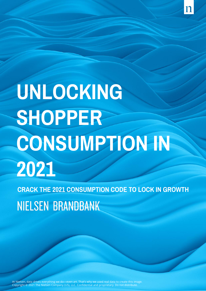**CRACK THE 2021 CONSUMPTION CODE TO LOCK IN GROWTH NIELSEN BRANDBANK** 

At Nielsen, data drives everything we do—even art. That's why we used real data to create this image. Copyright © 2021 The Nielsen Company (US), LLC. Confidential and proprietary. Do not distribute.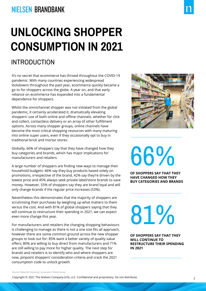### **NIELSEN BRANDBANK**

# **UNLOCKING SHOPPER CONSUMPTION IN 2021**

### INTRODUCTION

It's no secret that ecommerce has thrived throughout the COVID-19 pandemic. With many countries experiencing widespread lockdowns throughout the past year, ecommerce quickly became a go to for shoppers across the globe. A year on, and that early reliance on ecommerce has expanded into a fundamental dependence for shoppers.

Whilst the omnichannel shopper was not initiated from the global pandemic, it certainly accelerated it, dramatically elevating shoppers' use of both online and offline channels, whether for click and collect, contactless delivery or an array of other fulfillment options. Across many shopper groups, online channels have become the most critical shopping resources with many maturing into online super users, even if they occasionally opt to buy in traditional brick and mortar stores.

Globally, 66% of shoppers say that they have changed how they buy categories and brands, which has major implications for manufacturers and retailers.

A large number of shoppers are finding new ways to manage their household budgets: 46% say they buy products based solely on promotions, irrespective of the brand, 42% say they're driven by the lowest price and 45% always seek private label/store brands to save money. However, 55% of shoppers say they are brand loyal and will only change brands if the regular price increases (53%).

Nevertheless this demonstrates that the majority of shoppers are scrutinising their purchases by weighing up what matters to them versus the cost. And with 81% of global shoppers saying that they will continue to restructure their spending in 2021, we can expect even more change this year.

For manufacturers and retailers the changing shopping behaviours is challenging to manage as there is not a one size fits all approach, however there are some common ground across the new shopper groups to look out for: 85% want a better variety of quality value offers; 80% are willing to buy direct from manufacturers and 71% are still willing to pay more for higher quality. The next step for brands and retailers is to identify who and where shoppers are now, pinpoint shoppers' consideration criteria and crack the 2021 consumption code to unlock growth.



66%

**OF SHOPPERS SAY THAT THEY HAVE CHANGED HOW THEY BUY CATEGORIES AND BRANDS**

81%

**OF SHOPPERS SAY THAT THEY WILL CONTINUE TO RESTRUCTURE THEIR SPENDING IN 2021**

Source: NielsenIQ Unlocking Consumption Global Survey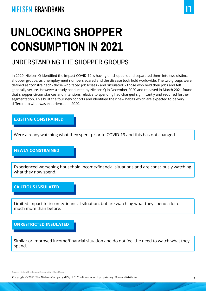#### UNDERSTANDING THE SHOPPER GROUPS

In 2020, NielsenIQ identified the impact COVID-19 is having on shoppers and separated them into two distinct shopper groups, as unemployment numbers soared and the disease took hold worldwide. The two groups were defined as "constrained" - those who faced job losses - and "insulated" - those who held their jobs and felt generally secure. However a study conducted by NielsenIQ in December 2020 and released in March 2021 found that shopper circumstances and intentions relative to spending had changed significantly and required further segmentation. This built the four new cohorts and identified their new habits which are expected to be very different to what was experienced in 2020.

#### **EXISTING CONSTRAINED**

Were already watching what they spent prior to COVID-19 and this has not changed.

#### **NEWLY CONSTRAINED**

Experienced worsening household income/financial situations and are consciously watching what they now spend.

#### **CAUTIOUS INSULATED**

Limited impact to income/financial situation, but are watching what they spend a lot or much more than before.

**UNRESTRICTED INSULATED**

Similar or improved income/financial situation and do not feel the need to watch what they spend.

Source: NielsenIQ Unlocking Consumption Global Survey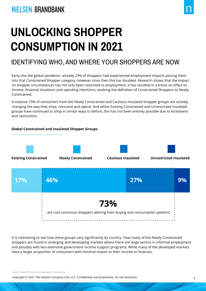#### IDENTIFYING WHO, AND WHERE YOUR SHOPPERS ARE NOW

Early into the global pandemic, already 23% of shoppers had experienced employment impacts placing them into that Constrained Shopper category, however since then this has doubled. Research shows that the impact on shopper circumstances has not only been restricted to employment, it has resulted in a knock on effect to income, financial situations and spending intentions, evolving the definition of Constrained Shoppers to Newly Constrained.

A massive 73% of consumers from the Newly Constrained and Cautious Insulated shopper groups are actively changing the way they shop, consume and spend. And whilst Existing Constrained and Unrestricted Insulated groups have continued to shop in similar ways to before, this has not been entirely possible due to lockdowns and restrictions.

#### **Global Constrained and Insulated Shopper Groups**



It is interesting to see how these groups vary significantly by country. How many of the Newly Constrained shoppers are found in emerging and developing markets where there are large sectors in informal employment and possibly with less extensive government income support programs. While many of the developed markets have a larger proportion of consumers with minimal impact to their income or finances.

Source: NielsenIQ Unlocking Consumption Global Survey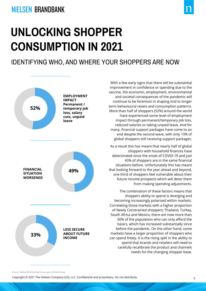#### IDENTIFYING WHO, AND WHERE YOUR SHOPPERS ARE NOW



With a few early signs that there will be substantial improvement in confidence or spending due to the vaccine, the economic, employment, environmental and societal consequences of the pandemic will continue to be foremost in shaping mid to longer term behavioural resets and consumption patterns. More than half of shoppers (52%) around the world have experienced some level of employment impact through permanent/temporary job loss, reduced salaries or taking unpaid leave. And for many, financial support packages have come to an end despite the second wave, with only 13% of global shoppers still receiving support packages.

As a result this has meant that nearly half of global shoppers with household finances have deteriorated since the onset of COVID-19 and just 43% of shoppers are in the same financial situations before. Unfortunately this has meant that looking forward to the year ahead and beyond, one third of shoppers feel vulnerable about their future income prospects which will deter them from making spending adjustments.

The combination of these factors means that shoppers ability to spend is diverging and becoming increasingly polarised within markets. Correlating those markets with a higher proportion of Newly Constrained shoppers; Thailand, Turkey, South Africa and Mexico, there are now more than 50% of the population who can only afford the basics, which has increased substantially since before the pandemic. On the other hand, some markets have a larger proportion of shoppers who can spend freely. It is the rising split in the ability to spend that brands and retailers will need to carefully recalibrate the product and channels needs for the changing shopper base.

Source: NielsenIQ Unlocking Consumption Global Survey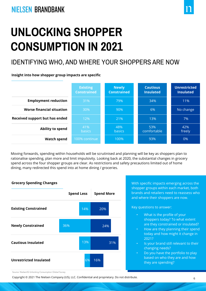### IDENTIFYING WHO, AND WHERE YOUR SHOPPERS ARE NOW

**Insight into how shopper group impacts are specific**

|                                | <b>Existing</b><br><b>Constrained</b> | <b>Newly</b><br><b>Constrained</b> | <b>Cautious</b><br><b>Insulated</b> | <b>Unrestricted</b><br><b>Insulated</b> |
|--------------------------------|---------------------------------------|------------------------------------|-------------------------------------|-----------------------------------------|
| <b>Employment reduction</b>    | 31%                                   | 79%                                | 34%                                 | 11%                                     |
| Worse financial situation      | 30%                                   | 90%                                | 6%                                  | No change                               |
| Received support but has ended | 12%                                   | 21%                                | 13%                                 | 7%                                      |
| Ability to spend               | 41%<br><b>basics</b>                  | 48%<br><b>basics</b>               | 53%<br>comfortable                  | 42%<br>freely                           |
| <b>Watch spend</b>             | 100% continue                         | 100%                               | 93%                                 | 0%                                      |

Moving forwards, spending within households will be scrutinised and planning will be key as shoppers plan to rationalise spending, plan more and limit impulsivity. Looking back at 2020, the substantial changes in grocery spend across the four shopper groups are clear. As restrictions and safety precautions limited out of home dining, many redirected this spend into at home dining / groceries.



shopper groups within each market, both brands and retailers need to reassess who and where their shoppers are now.

Key questions to answer:

- What is the profile of your shoppers today? To what extent are they constrained or insulated?
- How are they planning their spend today and how might it change in 2021?
- Is your brand still relevant to their changing needs?
	- Do you have the portfolio to play based on who they are and how they are spending?

Source: NielsenIQ Unlocking Consumption Global Survey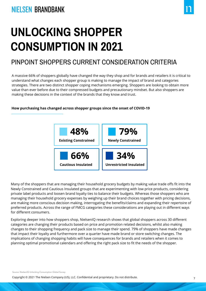### PINPOINT SHOPPERS CURRENT CONSIDERATION CRITERIA

A massive 66% of shoppers globally have changed the way they shop and for brands and retailers it is critical to understand what changes each shopper group is making to manage the impact of brand and categories strategies. There are two distinct shopper coping mechanisms emerging. Shoppers are looking to obtain more value than ever before due to their compressed budgets and precautionary mindset. But also shoppers are making these decisions in the context of the brands that they know and trust.

#### **How purchasing has changed across shopper groups since the onset of COVID-19**



Many of the shoppers that are managing their household grocery budgets by making value trade offs fit into the Newly Constrained and Cautious Insulated groups that are experimenting with low price products, considering private label products and loosen brand loyalty ties to balance their budgets. Whereas those shoppers who are managing their household grocery expenses by weighing up their brand choices together with pricing decisions, are making more conscious decision making, interrogating the benefits/claims and expanding their repertoire of preferred products. Across the range of FMCG categories these considerations are playing out in different ways for different consumers.

Exploring deeper into how shoppers shop, NielsenIQ research shows that global shoppers across 30 different categories are changing their products based on price and promotion related decisions, whilst also making changes to their shopping frequency and pack size to manage their spend. 79% of shoppers have made changes that impact their loyalty and furthermore over a quarter have made brand or store switching changes. The implications of changing shopping habits will have consequences for brands and retailers when it comes to planning optimal promotional calendars and offering the right pack size to fit the needs of the shopper.

Source: NielsenIQ Unlocking Consumption Global Survey

<sup>7</sup> Copyright © 2021 The Nielsen Company (US), LLC. Confidential and proprietary. Do not distribute.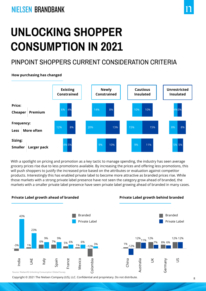### PINPOINT SHOPPERS CURRENT CONSIDERATION CRITERIA

**How purchasing has changed**



With a spotlight on pricing and promotion as a key tactic to manage spending, the industry has seen average grocery prices rise due to less promotions available. By increasing the prices and offering less promotions, this will push shoppers to justify the increased price based on the attributes or evaluation against competitor products. Interestingly this has enabled private label to become more attractive as branded prices rise. While those markets with a strong private label presence have not seen the category grow ahead of branded, the markets with a smaller private label presence have seen private label growing ahead of branded in many cases.



8 Copyright © 2021 The Nielsen Company (US), LLC. Confidential and proprietary. Do not distribute.

**Private Label growth behind branded**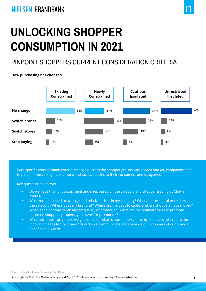### PINPOINT SHOPPERS CURRENT CONSIDERATION CRITERIA



**How purchasing has changed**

With specific consideration criteria emerging across the shopper groups within each market, companies need to pinpoint the coping mechanisms and tactics specific to their consumers and categories.

Key questions to answer:

- Do we have the right assortment and sizes based on the category and shopper trading up/down routes?
- What has happened to average and relative prices in my category? What are the logical price tiers in the category? Where does my brand sit? Where are the gaps to capture where shoppers have moved?
- What is the optimal depth and frequency of promotion? What are the optimal stores to promote based on shoppers propensity to travel for promotion?
- What attributes carry more weight based on what is now important to my shoppers, where are the innovation gaps for my brand? How do we communicate and convince our shoppers of our brands' benefits and worth?

Source: NielsenIQ Unlocking Consumption Global Survey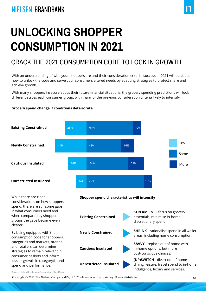### CRACK THE 2021 CONSUMPTION CODE TO LOCK IN GROWTH

With an understanding of who your shoppers are and their consideration criteria, success in 2021 will be about how to unlock the code and serve your consumers altered needs by adapting strategies to protect share and achieve growth.

With many shoppers insecure about their future financial situations, the grocery spending predictions will look different across each consumer group, with many of the previous consideration criteria likely to intensify.

#### **Grocery spend change if conditions deteriorate**



Source: NielsenIQ Unlocking Consumption Global Survey